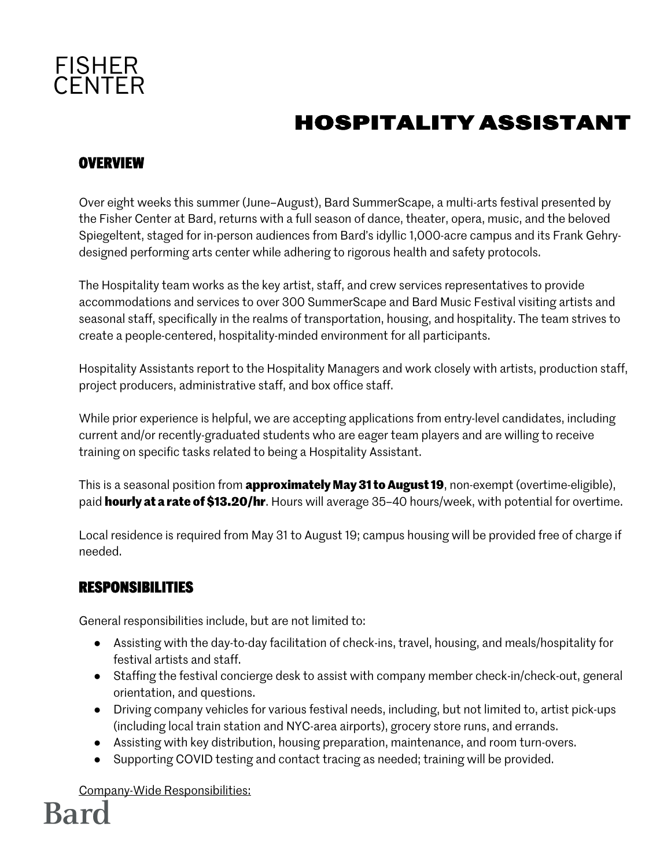

### **HOSPITALITY ASSISTANT**

### **OVERVIEW**

Over eight weeks this summer (June–August), Bard SummerScape, a multi-arts festival presented by the Fisher Center at Bard, returns with a full season of dance, theater, opera, music, and the beloved Spiegeltent, staged for in-person audiences from Bard's idyllic 1,000-acre campus and its Frank Gehrydesigned performing arts center while adhering to rigorous health and safety protocols.

The Hospitality team works as the key artist, staff, and crew services representatives to provide accommodations and services to over 300 SummerScape and Bard Music Festival visiting artists and seasonal staff, specifically in the realms of transportation, housing, and hospitality. The team strives to create a people-centered, hospitality-minded environment for all participants.

Hospitality Assistants report to the Hospitality Managers and work closely with artists, production staff, project producers, administrative staff, and box office staff.

While prior experience is helpful, we are accepting applications from entry-level candidates, including current and/or recently-graduated students who are eager team players and are willing to receive training on specific tasks related to being a Hospitality Assistant.

This is a seasonal position from **approximately May 31 to August 19**, non-exempt (overtime-eligible), paid **hourly at a rate of \$13.20/hr**. Hours will average 35–40 hours/week, with potential for overtime.

Local residence is required from May 31 to August 19; campus housing will be provided free of charge if needed.

#### **RESPONSIBILITIES**

General responsibilities include, but are not limited to:

- Assisting with the day-to-day facilitation of check-ins, travel, housing, and meals/hospitality for festival artists and staff.
- Staffing the festival concierge desk to assist with company member check-in/check-out, general orientation, and questions.
- Driving company vehicles for various festival needs, including, but not limited to, artist pick-ups (including local train station and NYC-area airports), grocery store runs, and errands.
- Assisting with key distribution, housing preparation, maintenance, and room turn-overs.
- Supporting COVID testing and contact tracing as needed; training will be provided.

Company-Wide Responsibilities: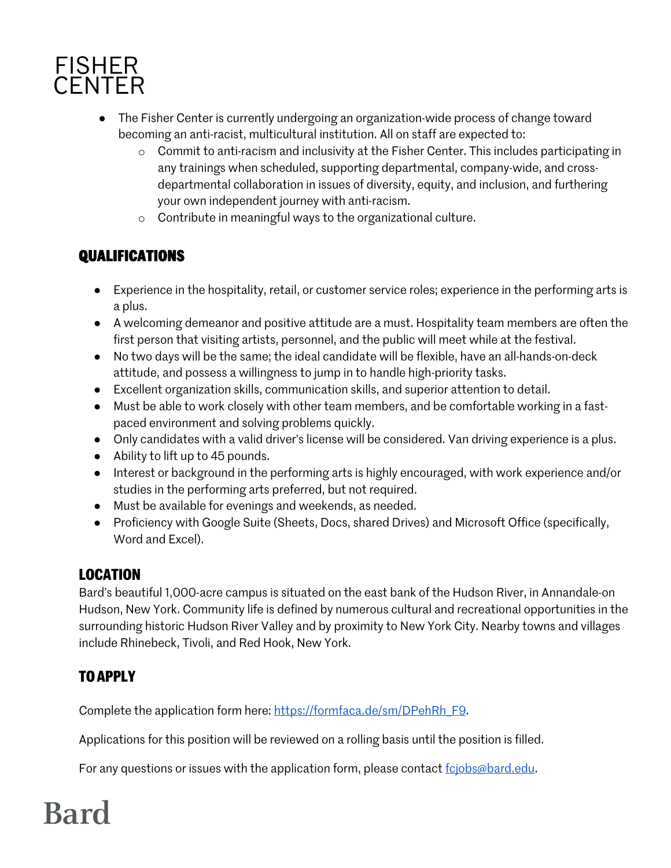

- The Fisher Center is currently undergoing an organization-wide process of change toward becoming an anti-racist, multicultural institution. All on staff are expected to:
	- o Commit to anti-racism and inclusivity at the Fisher Center. This includes participating in any trainings when scheduled, supporting departmental, company-wide, and crossdepartmental collaboration in issues of diversity, equity, and inclusion, and furthering your own independent journey with anti-racism.
	- o Contribute in meaningful ways to the organizational culture.

### **QUALIFICATIONS**

- Experience in the hospitality, retail, or customer service roles; experience in the performing arts is a plus.
- A welcoming demeanor and positive attitude are a must. Hospitality team members are often the first person that visiting artists, personnel, and the public will meet while at the festival.
- No two days will be the same; the ideal candidate will be flexible, have an all-hands-on-deck attitude, and possess a willingness to jump in to handle high-priority tasks.
- Excellent organization skills, communication skills, and superior attention to detail.
- Must be able to work closely with other team members, and be comfortable working in a fastpaced environment and solving problems quickly.
- Only candidates with a valid driver's license will be considered. Van driving experience is a plus.
- Ability to lift up to 45 pounds.
- Interest or background in the performing arts is highly encouraged, with work experience and/or studies in the performing arts preferred, but not required.
- Must be available for evenings and weekends, as needed.
- Proficiency with Google Suite (Sheets, Docs, shared Drives) and Microsoft Office (specifically, Word and Excel).

### **LOCATION**

Bard's beautiful 1,000-acre campus is situated on the east bank of the Hudson River, in Annandale-on Hudson, New York. Community life is defined by numerous cultural and recreational opportunities in the surrounding historic Hudson River Valley and by proximity to New York City. Nearby towns and villages include Rhinebeck, Tivoli, and Red Hook, New York.

### **TO APPLY**

Complete the application form here: https://formfaca.de/sm/DPehRh\_F9.

Applications for this position will be reviewed on a rolling basis until the position is filled.

For any questions or issues with the application form, please contact fcjobs@bard.edu.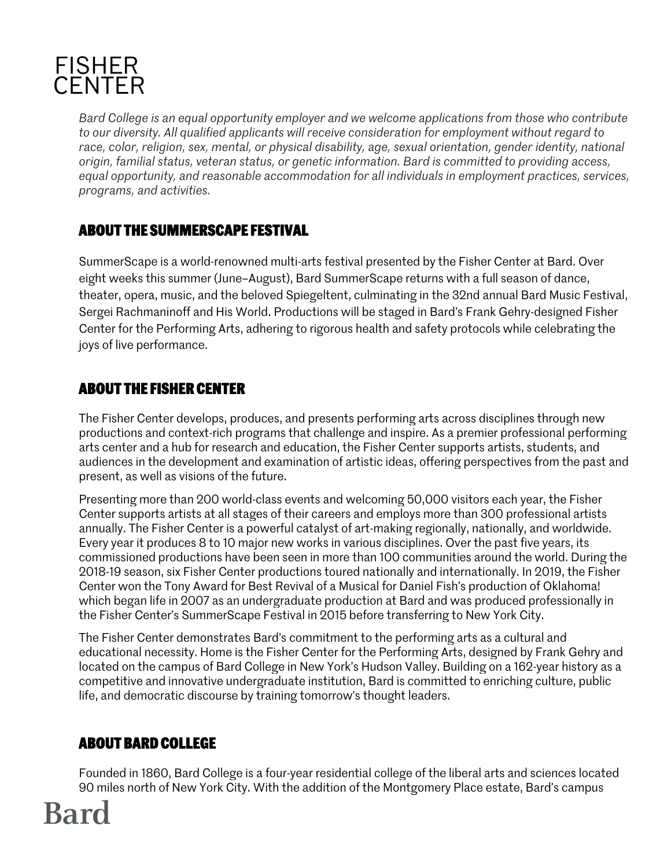

*Bard College is an equal opportunity employer and we welcome applications from those who contribute to our diversity. All qualified applicants will receive consideration for employment without regard to race, color, religion, sex, mental, or physical disability, age, sexual orientation, gender identity, national origin, familial status, veteran status, or genetic information. Bard is committed to providing access, equal opportunity, and reasonable accommodation for all individuals in employment practices, services, programs, and activities.*

### **ABOUT THE SUMMERSCAPE FESTIVAL**

SummerScape is a world-renowned multi-arts festival presented by the Fisher Center at Bard. Over eight weeks this summer (June–August), Bard SummerScape returns with a full season of dance, theater, opera, music, and the beloved Spiegeltent, culminating in the 32nd annual Bard Music Festival, Sergei Rachmaninoff and His World. Productions will be staged in Bard's Frank Gehry-designed Fisher Center for the Performing Arts, adhering to rigorous health and safety protocols while celebrating the joys of live performance.

#### **ABOUT THE FISHER CENTER**

The Fisher Center develops, produces, and presents performing arts across disciplines through new productions and context-rich programs that challenge and inspire. As a premier professional performing arts center and a hub for research and education, the Fisher Center supports artists, students, and audiences in the development and examination of artistic ideas, offering perspectives from the past and present, as well as visions of the future.

Presenting more than 200 world-class events and welcoming 50,000 visitors each year, the Fisher Center supports artists at all stages of their careers and employs more than 300 professional artists annually. The Fisher Center is a powerful catalyst of art-making regionally, nationally, and worldwide. Every year it produces 8 to 10 major new works in various disciplines. Over the past five years, its commissioned productions have been seen in more than 100 communities around the world. During the 2018-19 season, six Fisher Center productions toured nationally and internationally. In 2019, the Fisher Center won the Tony Award for Best Revival of a Musical for Daniel Fish's production of Oklahoma! which began life in 2007 as an undergraduate production at Bard and was produced professionally in the Fisher Center's SummerScape Festival in 2015 before transferring to New York City.

The Fisher Center demonstrates Bard's commitment to the performing arts as a cultural and educational necessity. Home is the Fisher Center for the Performing Arts, designed by Frank Gehry and located on the campus of Bard College in New York's Hudson Valley. Building on a 162-year history as a competitive and innovative undergraduate institution, Bard is committed to enriching culture, public life, and democratic discourse by training tomorrow's thought leaders.

### **ABOUT BARD COLLEGE**

Founded in 1860, Bard College is a four-year residential college of the liberal arts and sciences located 90 miles north of New York City. With the addition of the Montgomery Place estate, Bard's campus